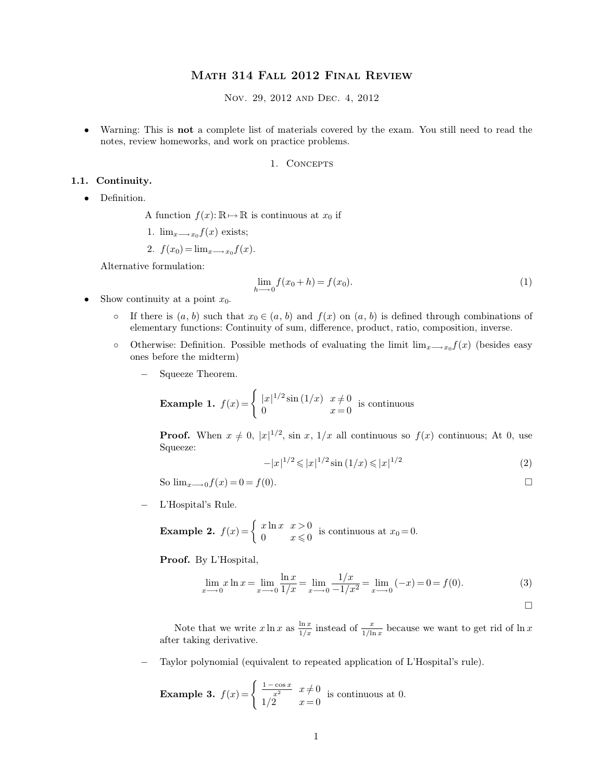# <span id="page-0-0"></span>Math 314 Fall 2012 Final Review

Nov. 29, 2012 and Dec. 4, 2012

• Warning: This is **not** a complete list of materials covered by the exam. You still need to read the notes, review homeworks, and work on practice problems.

## 1. CONCEPTS

### **1.1. Continuity.**

• Definition.

A function  $f(x): \mathbb{R} \to \mathbb{R}$  is continuous at  $x_0$  if

1.  $\lim_{x\longrightarrow x_0} f(x)$  exists;

$$
2. f(x_0) = \lim_{x \to x_0} f(x).
$$

Alternative formulation:

$$
\lim_{h \to 0} f(x_0 + h) = f(x_0).
$$
 (1)

- Show continuity at a point  $x_0$ .
	- If there is  $(a, b)$  such that  $x_0 \in (a, b)$  and  $f(x)$  on  $(a, b)$  is defined through combinations of elementary functions: Continuity of sum, difference, product, ratio, composition, inverse.
	- Otherwise: Definition. Possible methods of evaluating the limit  $\lim_{x\to x_0}f(x)$  (besides easy ones before the midterm)
		- Squeeze Theorem.

**Example 1.** 
$$
f(x) = \begin{cases} |x|^{1/2} \sin(1/x) & x \neq 0 \\ 0 & x = 0 \end{cases}
$$
 is continuous

**Proof.** When  $x \neq 0$ ,  $|x|^{1/2}$ , sin x,  $1/x$  all continuous so  $f(x)$  continuous; At 0, use Squeeze:

$$
-|x|^{1/2} \le |x|^{1/2} \sin(1/x) \le |x|^{1/2}
$$
 (2)

So  $\lim_{x \to 0} f(x) = 0 = f(0)$ .

− L'Hospital's Rule.

**Example 2.**  $f(x) = \begin{cases} x \ln x & x > 0 \\ 0 & x \le 0 \end{cases}$  $x \text{ m} \cdot x \leq 0$  is continuous at  $x_0 = 0$ .

**Proof.** By L'Hospital,

$$
\lim_{x \to 0} x \ln x = \lim_{x \to 0} \frac{\ln x}{1/x} = \lim_{x \to 0} \frac{1/x}{-1/x^2} = \lim_{x \to 0} (-x) = 0 = f(0).
$$
 (3)

 $\Box$ 

Note that we write  $x \ln x$  as  $\frac{\ln x}{1/x}$  $\frac{\ln x}{1/x}$  instead of  $\frac{x}{1/\ln x}$  because we want to get rid of  $\ln x$ after taking derivative.

− Taylor polynomial (equivalent to repeated application of L'Hospital's rule).

**Example 3.**  $f(x) = \begin{cases} \frac{1 - \cos x}{x^2} & x \neq 0 \end{cases}$  $1/2 \t x = 0$ is continuous at 0.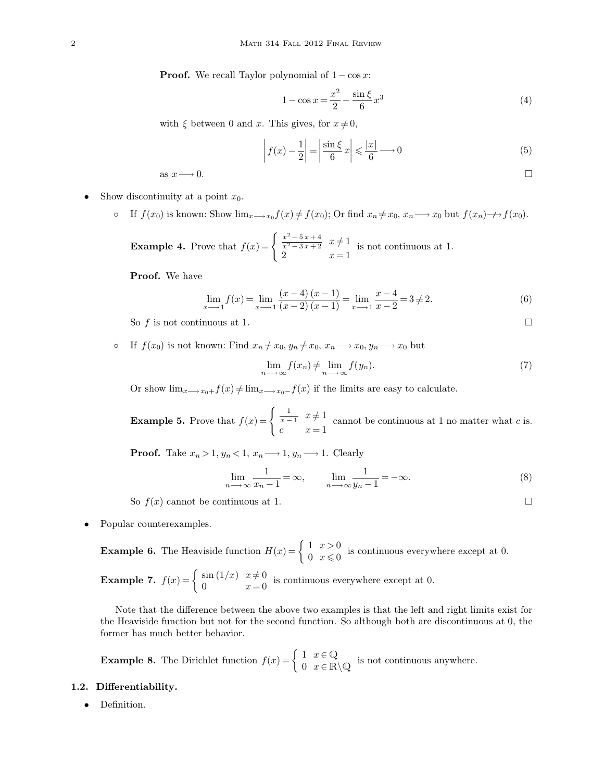**Proof.** We recall Taylor polynomial of  $1 - \cos x$ :

$$
1 - \cos x = \frac{x^2}{2} - \frac{\sin \xi}{6} x^3
$$
\n(4)

with  $\xi$  between 0 and x. This gives, for  $x \neq 0$ ,

$$
\left| f(x) - \frac{1}{2} \right| = \left| \frac{\sin \xi}{6} x \right| \leq \frac{|x|}{6} \longrightarrow 0 \tag{5}
$$

as  $x \longrightarrow 0$ .

Show discontinuity at a point  $x_0$ .

• If  $f(x_0)$  is known: Show  $\lim_{x\to x_0} f(x) \neq f(x_0)$ ; Or find  $x_n \neq x_0$ ,  $x_n \longrightarrow x_0$  but  $f(x_n) \longrightarrow f(x_0)$ .

**Example 4.** Prove that  $f(x) = \begin{cases} \frac{x^2 - 5x + 4}{x^2 - 3x + 2} & x \neq 1 \end{cases}$ 2  $x = 1$ is not continuous at 1.

**Proof.** We have

$$
\lim_{x \to -1} f(x) = \lim_{x \to -1} \frac{(x-4)(x-1)}{(x-2)(x-1)} = \lim_{x \to -1} \frac{x-4}{x-2} = 3 \neq 2.
$$
 (6)

So f is not continuous at 1.

• If  $f(x_0)$  is not known: Find  $x_n \neq x_0, y_n \neq x_0, x_n \longrightarrow x_0, y_n \longrightarrow x_0$  but

$$
\lim_{n \to \infty} f(x_n) \neq \lim_{n \to \infty} f(y_n). \tag{7}
$$

Or show  $\lim_{x\longrightarrow x_0+} f(x) \neq \lim_{x\longrightarrow x_0-} f(x)$  if the limits are easy to calculate.

**Example 5.** Prove that  $f(x) = \begin{cases} \frac{1}{x-1} & x \neq 1. \end{cases}$ c  $x = 1$ cannot be continuous at 1 no matter what  $c$  is.

**Proof.** Take  $x_n > 1$ ,  $y_n < 1$ ,  $x_n \longrightarrow 1$ ,  $y_n \longrightarrow 1$ . Clearly

$$
\lim_{n \to \infty} \frac{1}{x_n - 1} = \infty, \qquad \lim_{n \to \infty} \frac{1}{y_n - 1} = -\infty.
$$
 (8)

So  $f(x)$  cannot be continuous at 1.

• Popular counterexamples.

**Example 6.** The Heaviside function  $H(x) = \begin{cases} 1 & x > 0 \\ 0 & x < 0 \end{cases}$  $\begin{array}{c} 1 & x > 0 \\ 0 & x \leq 0 \end{array}$  is continuous everywhere except at 0.

**Example 7.** 
$$
f(x) = \begin{cases} \sin(1/x) & x \neq 0 \\ 0 & x = 0 \end{cases}
$$
 is continuous everywhere except at 0.

Note that the difference between the above two examples is that the left and right limits exist for the Heaviside function but not for the second function. So although both are discontinuous at 0, the former has much better behavior.

**Example 8.** The Dirichlet function  $f(x) = \begin{cases} 1 & x \in \mathbb{Q} \\ 0 & x \in \mathbb{R} \end{cases}$  $0 \quad x \in \mathbb{R} \setminus \mathbb{Q}$  is not continuous anywhere.

- **1.2. Differentiability.**
	- Definition.

$$
\Box
$$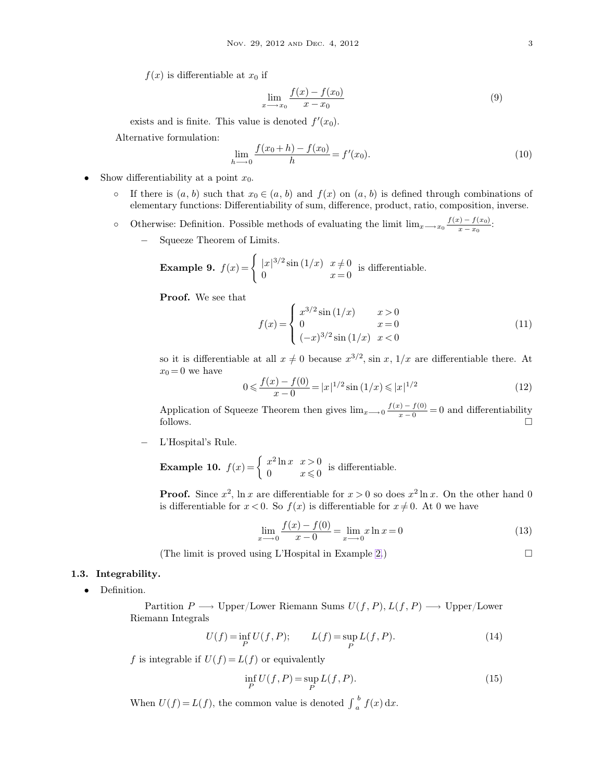$f(x)$  is differentiable at  $x_0$  if

$$
\lim_{x \to x_0} \frac{f(x) - f(x_0)}{x - x_0} \tag{9}
$$

exists and is finite. This value is denoted  $f'(x_0)$ .

Alternative formulation:

$$
\lim_{h \to 0} \frac{f(x_0 + h) - f(x_0)}{h} = f'(x_0).
$$
\n(10)

- Show differentiability at a point  $x_0$ .
	- If there is  $(a, b)$  such that  $x_0 \in (a, b)$  and  $f(x)$  on  $(a, b)$  is defined through combinations of elementary functions: Differentiability of sum, difference, product, ratio, composition, inverse.
	- o Otherwise: Definition. Possible methods of evaluating the limit  $\lim_{x\to x_0} \frac{f(x)-f(x_0)}{x-x_0}$  $\frac{x}{x-x_0}$ :
		- − Squeeze Theorem of Limits.

**Example 9.** 
$$
f(x) = \begin{cases} |x|^{3/2} \sin(1/x) & x \neq 0 \\ 0 & x = 0 \end{cases}
$$
 is differentiable.

**Proof.** We see that

$$
f(x) = \begin{cases} x^{3/2} \sin(1/x) & x > 0\\ 0 & x = 0\\ (-x)^{3/2} \sin(1/x) & x < 0 \end{cases}
$$
(11)

so it is differentiable at all  $x \neq 0$  because  $x^{3/2}$ , sin x,  $1/x$  are differentiable there. At  $x_0 = 0$  we have

$$
0 \leq \frac{f(x) - f(0)}{x - 0} = |x|^{1/2} \sin(1/x) \leq |x|^{1/2}
$$
 (12)

Application of Squeeze Theorem then gives  $\lim_{x\to 0} \frac{f(x) - f(0)}{x-0}$  $\frac{f(x)-f(0)}{x-0} = 0$  and differentiability follows.  $\Box$ 

− L'Hospital's Rule.

**Example 10.**  $f(x) = \begin{cases} x^2 \ln x & x > 0 \\ 0 & x < 0 \end{cases}$  $\begin{array}{cc} x & \text{if } x > 0 \\ 0 & x \leq 0 \end{array}$  is differentiable.

**Proof.** Since  $x^2$ , ln x are differentiable for  $x > 0$  so does  $x^2 \ln x$ . On the other hand 0 is differentiable for  $x < 0$ . So  $f(x)$  is differentiable for  $x \neq 0$ . At 0 we have

$$
\lim_{x \to 0} \frac{f(x) - f(0)}{x - 0} = \lim_{x \to 0} x \ln x = 0
$$
\n(13)

(The limit is proved using L'Hospital in Example [2.](#page-0-0))  $\Box$ 

## **1.3. Integrability.**

• Definition.

Partition  $P \longrightarrow \text{Upper/Lower Riemann Sums } U(f, P), L(f, P) \longrightarrow \text{Upper/Lower Riemann Sums } U(f, P)$ Riemann Integrals

$$
U(f) = \inf_{P} U(f, P); \qquad L(f) = \sup_{P} L(f, P). \tag{14}
$$

f is integrable if  $U(f) = L(f)$  or equivalently

$$
\inf_{P} U(f, P) = \sup_{P} L(f, P). \tag{15}
$$

When  $U(f) = L(f)$ , the common value is denoted  $\int_a^b$  $\int_a^b f(x) dx$ .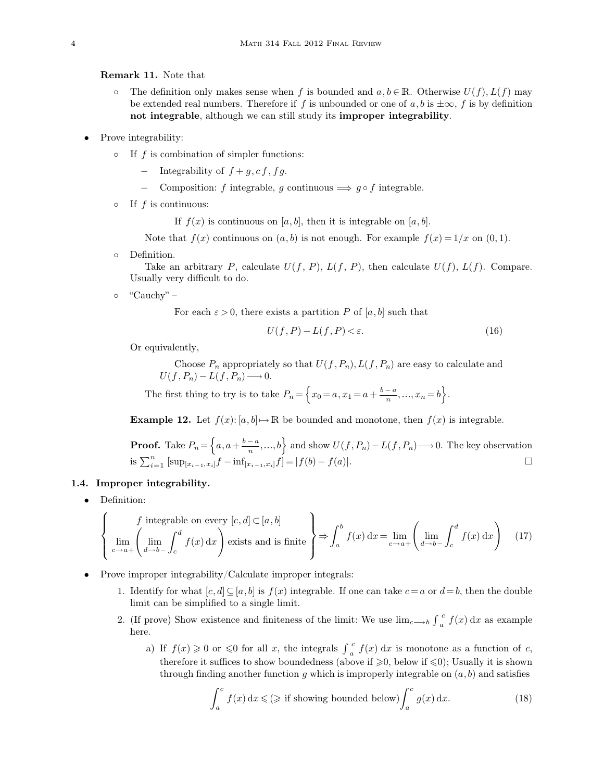**Remark 11.** Note that

- The definition only makes sense when f is bounded and  $a, b \in \mathbb{R}$ . Otherwise  $U(f)$ ,  $L(f)$  may be extended real numbers. Therefore if f is unbounded or one of a, b is  $\pm \infty$ , f is by definition **not integrable**, although we can still study its **improper integrability**.
- Prove integrability:
	- $\circ$  If f is combination of simpler functions:
		- $-$  Integrability of  $f + q, cf, fg$ .
		- Composition: f integrable, g continuous  $\implies g \circ f$  integrable.
	- $\circ$  If f is continuous:

If  $f(x)$  is continuous on [a, b], then it is integrable on [a, b].

Note that  $f(x)$  continuous on  $(a, b)$  is not enough. For example  $f(x) = 1/x$  on  $(0, 1)$ .

◦ Definition.

Take an arbitrary P, calculate  $U(f, P)$ ,  $L(f, P)$ , then calculate  $U(f)$ ,  $L(f)$ . Compare. Usually very difficult to do.

◦ "Cauchy" –

For each  $\varepsilon > 0$ , there exists a partition P of [a, b] such that

$$
U(f, P) - L(f, P) < \varepsilon. \tag{16}
$$

Or equivalently,

Choose  $P_n$  appropriately so that  $U(f, P_n)$ ,  $L(f, P_n)$  are easy to calculate and  $U(f, P_n) - L(f, P_n) \longrightarrow 0.$ 

The first thing to try is to take  $P_n = \left\{ x_0 = a, x_1 = a + \frac{b-a}{n}, ..., x_n = b \right\}.$ 

**Example 12.** Let  $f(x): [a, b] \mapsto \mathbb{R}$  be bounded and monotone, then  $f(x)$  is integrable.

**Proof.** Take 
$$
P_n = \left\{ a, a + \frac{b-a}{n}, ..., b \right\}
$$
 and show  $U(f, P_n) - L(f, P_n) \longrightarrow 0$ . The key observation is  $\sum_{i=1}^n \left[ \sup_{[x_{i-1}, x_i]} f - \inf_{[x_{i-1}, x_i]} f \right] = |f(b) - f(a)|$ .

#### **1.4. Improper integrability.**

• Definition:

$$
\left\{\n\lim_{c \to a+} \left( \lim_{d \to b-} \int_c^d f(x) \, dx \right)\n\text{exists and is finite}\n\right\} \Rightarrow \int_a^b f(x) \, dx = \lim_{c \to a+} \left( \lim_{d \to b-} \int_c^d f(x) \, dx \right)\n\tag{17}
$$

- Prove improper integrability/Calculate improper integrals:
	- 1. Identify for what  $[c, d] \subseteq [a, b]$  is  $f(x)$  integrable. If one can take  $c = a$  or  $d = b$ , then the double limit can be simplified to a single limit.
	- 2. (If prove) Show existence and finiteness of the limit: We use  $\lim_{c\to b} \int_{a}^{c}$  $\int_{a}^{c} f(x) dx$  as example here.
		- a) If  $f(x) \geq 0$  or  $\leq 0$  for all x, the integrals  $\int_{a}^{b}$  $\int_{a}^{c} f(x) dx$  is monotone as a function of c, therefore it suffices to show boundedness (above if  $\geqslant 0$ , below if  $\leqslant 0$ ); Usually it is shown through finding another function q which is improperly integrable on  $(a, b)$  and satisfies

$$
\int_{a}^{c} f(x) dx \leq (\geq \text{ if showing bounded below}) \int_{a}^{c} g(x) dx.
$$
 (18)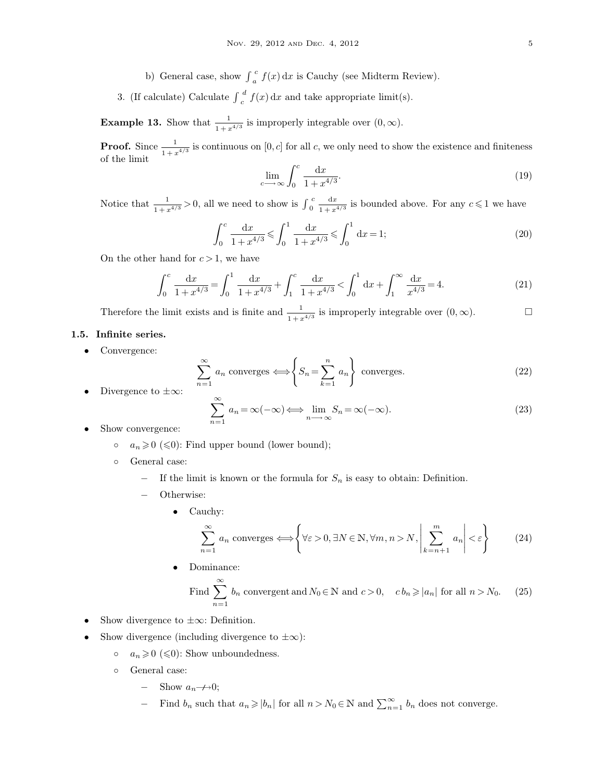- b) General case, show  $\int_{a}^{b}$  $\int_{a}^{c} f(x) dx$  is Cauchy (see Midterm Review).
- 3. (If calculate) Calculate  $\int_{c}^{c}$  $\int_{a}^{d} f(x) dx$  and take appropriate limit(s).

**Example 13.** Show that  $\frac{1}{1 + x^{4/3}}$  is improperly integrable over  $(0, \infty)$ .

**Proof.** Since  $\frac{1}{1+x^{4/3}}$  is continuous on [0, c] for all c, we only need to show the existence and finiteness of the limit

<span id="page-4-0"></span>
$$
\lim_{c \to \infty} \int_0^c \frac{\mathrm{d}x}{1 + x^{4/3}}.\tag{19}
$$

Notice that  $\frac{1}{1+x^{4/3}} > 0$ , all we need to show is  $\int_0^{\infty}$  $c$  dx  $\frac{dx}{1 + x^{4/3}}$  is bounded above. For any  $c \leq 1$  we have

$$
\int_0^c \frac{\mathrm{d}x}{1+x^{4/3}} \leqslant \int_0^1 \frac{\mathrm{d}x}{1+x^{4/3}} \leqslant \int_0^1 \mathrm{d}x = 1;\tag{20}
$$

On the other hand for  $c > 1$ , we have

$$
\int_0^c \frac{\mathrm{d}x}{1+x^{4/3}} = \int_0^1 \frac{\mathrm{d}x}{1+x^{4/3}} + \int_1^c \frac{\mathrm{d}x}{1+x^{4/3}} < \int_0^1 \mathrm{d}x + \int_1^\infty \frac{\mathrm{d}x}{x^{4/3}} = 4. \tag{21}
$$

Therefore the limit exists and is finite and  $\frac{1}{1+x^{4/3}}$  is improperly integrable over  $(0, \infty)$ .

# **1.5. Infinite series.**

• Convergence:

$$
\sum_{n=1}^{\infty} a_n
$$
 converges  $\Longleftrightarrow$   $\left\{ S_n = \sum_{k=1}^n a_n \right\}$  converges. (22)

Divergence to  $\pm\infty$ :

$$
\sum_{n=1}^{\infty} a_n = \infty(-\infty) \Longleftrightarrow \lim_{n \to \infty} S_n = \infty(-\infty).
$$
\n(23)

- Show convergence:
	- $a_n \ge 0$  (≤0): Find upper bound (lower bound);
	- General case:
		- If the limit is known or the formula for  $S_n$  is easy to obtain: Definition.
		- − Otherwise:
			- Cauchy:

$$
\sum_{n=1}^{\infty} a_n \text{ converges} \Longleftrightarrow \left\{ \forall \varepsilon > 0, \exists N \in \mathbb{N}, \forall m, n > N, \left| \sum_{k=n+1}^{m} a_n \right| < \varepsilon \right\} \tag{24}
$$

• Dominance:

Find 
$$
\sum_{n=1}^{\infty} b_n
$$
 convergent and  $N_0 \in \mathbb{N}$  and  $c > 0$ ,  $c b_n \ge |a_n|$  for all  $n > N_0$ . (25)

- Show divergence to  $\pm\infty$ : Definition.
- Show divergence (including divergence to  $\pm \infty$ ):
	- $a_n \geqslant 0 \leqslant 0$ : Show unboundedness.
	- General case:
		- Show  $a_n \rightarrow 0$ ;
		- − Find  $b_n$  such that  $a_n \geqslant |b_n|$  for all  $n > N_0 \in \mathbb{N}$  and  $\sum_{n=1}^{\infty} b_n$  does not converge.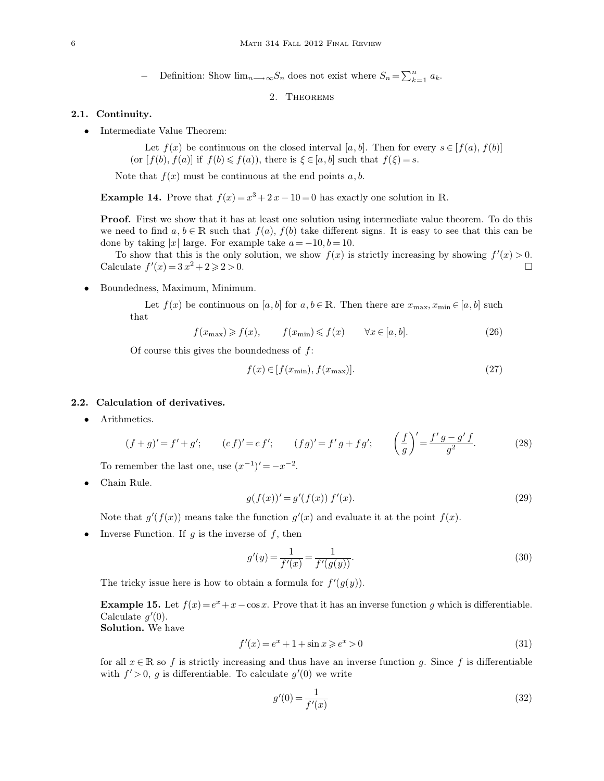− Definition: Show  $\lim_{n \to \infty} S_n$  does not exist where  $S_n = \sum_{k=1}^n$  $\sum_{k=1}^n a_k$ .

2. Theorems

## **2.1. Continuity.**

• Intermediate Value Theorem:

Let  $f(x)$  be continuous on the closed interval [a, b]. Then for every  $s \in [f(a), f(b)]$ (or  $[f(b), f(a)]$  if  $f(b) \leq f(a)$ ), there is  $\xi \in [a, b]$  such that  $f(\xi) = s$ .

Note that  $f(x)$  must be continuous at the end points  $a, b$ .

**Example 14.** Prove that  $f(x) = x^3 + 2x - 10 = 0$  has exactly one solution in R.

**Proof.** First we show that it has at least one solution using intermediate value theorem. To do this we need to find  $a, b \in \mathbb{R}$  such that  $f(a), f(b)$  take different signs. It is easy to see that this can be done by taking |x| large. For example take  $a = -10, b = 10$ .

To show that this is the only solution, we show  $f(x)$  is strictly increasing by showing  $f'(x) > 0$ . Calculate  $f'(x) = 3x^2 + 2 \ge 2 > 0$ .

• Boundedness, Maximum, Minimum.

Let  $f(x)$  be continuous on [a, b] for  $a, b \in \mathbb{R}$ . Then there are  $x_{\text{max}}, x_{\text{min}} \in [a, b]$  such that

$$
f(x_{\max}) \geqslant f(x), \qquad f(x_{\min}) \leqslant f(x) \qquad \forall x \in [a, b]. \tag{26}
$$

Of course this gives the boundedness of  $f$ :

$$
f(x) \in [f(x_{\min}), f(x_{\max})].
$$
\n(27)

#### **2.2. Calculation of derivatives.**

• Arithmetics.

$$
(f+g)' = f' + g';
$$
  $(cf)' = cf';$   $(fg)' = f'g + fg';$   $\left(\frac{f}{g}\right)' = \frac{f'g - g'f}{g^2}.$  (28)

To remember the last one, use  $(x^{-1})' = -x^{-2}$ .

• Chain Rule.

$$
g(f(x))' = g'(f(x)) f'(x).
$$
\n(29)

Note that  $g'(f(x))$  means take the function  $g'(x)$  and evaluate it at the point  $f(x)$ .

• Inverse Function. If  $g$  is the inverse of  $f$ , then

$$
g'(y) = \frac{1}{f'(x)} = \frac{1}{f'(g(y))}.
$$
\n(30)

The tricky issue here is how to obtain a formula for  $f'(g(y))$ .

**Example 15.** Let  $f(x) = e^x + x - \cos x$ . Prove that it has an inverse function g which is differentiable. Calculate  $g'(0)$ .

**Solution.** We have

$$
f'(x) = e^x + 1 + \sin x \ge e^x > 0
$$
\n(31)

for all  $x \in \mathbb{R}$  so f is strictly increasing and thus have an inverse function g. Since f is differentiable with  $f' > 0$ , g is differentiable. To calculate  $g'(0)$  we write

$$
g'(0) = \frac{1}{f'(x)}
$$
\n(32)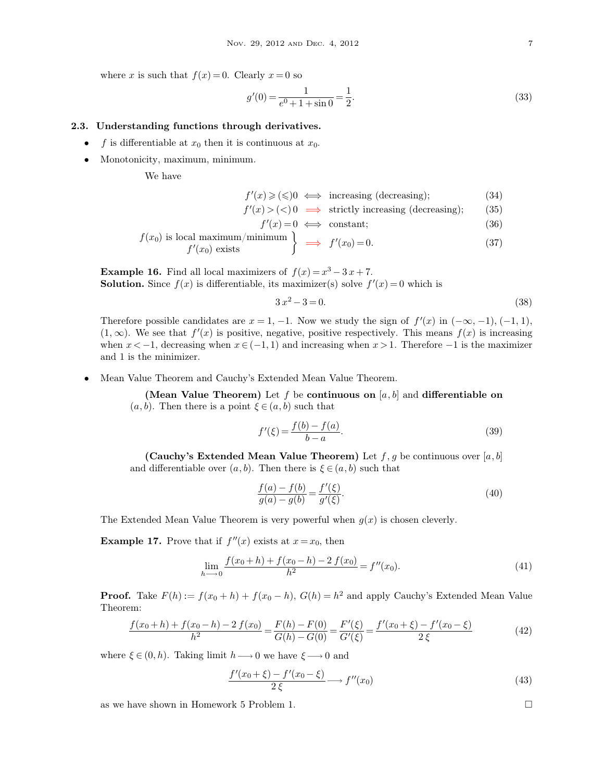where x is such that  $f(x) = 0$ . Clearly  $x = 0$  so

$$
g'(0) = \frac{1}{e^0 + 1 + \sin 0} = \frac{1}{2}.\tag{33}
$$

#### **2.3. Understanding functions through derivatives.**

- f is differentiable at  $x_0$  then it is continuous at  $x_0$ .
- Monotonicity, maximum, minimum.

We have

 $f'(x) \geqslant (\leqslant)0 \iff \text{increasing (decreasing)};$  (34)

 $f'(x) > (<) 0 \implies$  strictly increasing (decreasing); (35)

$$
f'(x) = 0 \iff \text{constant};\tag{36}
$$

$$
f(x_0) \text{ is local maximum/minimum} \begin{cases} \Rightarrow f'(x_0) = 0. \end{cases} (37)
$$

**Example 16.** Find all local maximizers of  $f(x) = x^3 - 3x + 7$ . **Solution.** Since  $f(x)$  is differentiable, its maximizer(s) solve  $f'(x) = 0$  which is

$$
3x^2 - 3 = 0.\t(38)
$$

Therefore possible candidates are  $x = 1, -1$ . Now we study the sign of  $f'(x)$  in  $(-\infty, -1)$ ,  $(-1, 1)$ ,  $(1, \infty)$ . We see that  $f'(x)$  is positive, negative, positive respectively. This means  $f(x)$  is increasing when  $x < -1$ , decreasing when  $x \in (-1, 1)$  and increasing when  $x > 1$ . Therefore  $-1$  is the maximizer and 1 is the minimizer.

• Mean Value Theorem and Cauchy's Extended Mean Value Theorem.

**(Mean Value Theorem)** Let f be **continuous on** [a, b] and **differentiable on**  $(a, b)$ . Then there is a point  $\xi \in (a, b)$  such that

$$
f'(\xi) = \frac{f(b) - f(a)}{b - a}.
$$
\n(39)

**(Cauchy's Extended Mean Value Theorem)** Let  $f, g$  be continuous over  $[a, b]$ and differentiable over  $(a, b)$ . Then there is  $\xi \in (a, b)$  such that

$$
\frac{f(a) - f(b)}{g(a) - g(b)} = \frac{f'(\xi)}{g'(\xi)}.
$$
\n(40)

The Extended Mean Value Theorem is very powerful when  $g(x)$  is chosen cleverly.

**Example 17.** Prove that if  $f''(x)$  exists at  $x = x_0$ , then

$$
\lim_{h \to 0} \frac{f(x_0 + h) + f(x_0 - h) - 2 f(x_0)}{h^2} = f''(x_0).
$$
\n(41)

**Proof.** Take  $F(h) := f(x_0 + h) + f(x_0 - h)$ ,  $G(h) = h^2$  and apply Cauchy's Extended Mean Value Theorem:

$$
\frac{f(x_0 + h) + f(x_0 - h) - 2 f(x_0)}{h^2} = \frac{F(h) - F(0)}{G(h) - G(0)} = \frac{F'(\xi)}{G'(\xi)} = \frac{f'(x_0 + \xi) - f'(x_0 - \xi)}{2 \xi}
$$
(42)

where  $\xi \in (0, h)$ . Taking limit  $h \longrightarrow 0$  we have  $\xi \longrightarrow 0$  and

$$
\frac{f'(x_0+\xi)-f'(x_0-\xi)}{2\xi} \longrightarrow f''(x_0)
$$
\n(43)

as we have shown in Homework 5 Problem 1.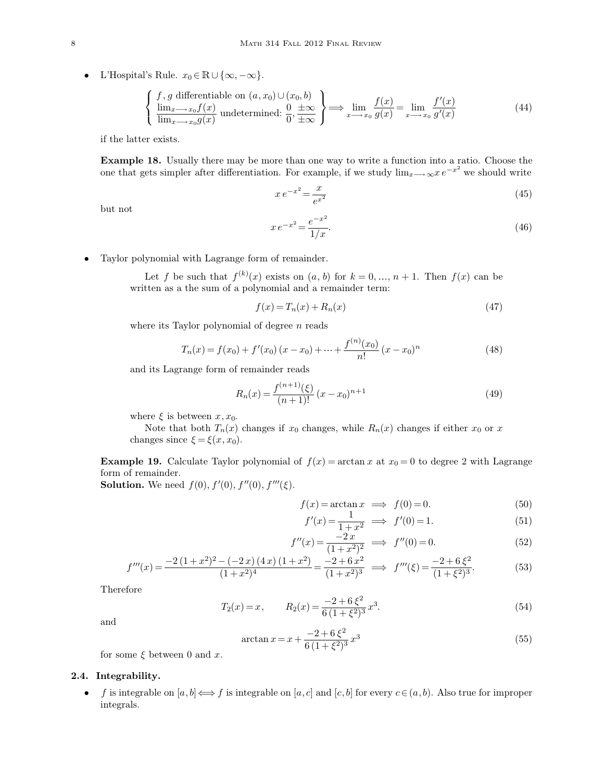• L'Hospital's Rule.  $x_0 \in \mathbb{R} \cup \{\infty, -\infty\}.$ 

$$
\begin{cases}\nf, g \text{ differentiable on } (a, x_0) \cup (x_0, b) \\
\lim_{x \to x_0} f(x) \\
\lim_{x \to x_0} g(x)\n\end{cases}\n\implies\n\frac{0}{\pm \infty}\n\implies\n\lim_{x \to x_0} \frac{f(x)}{g(x)} = \lim_{x \to x_0} \frac{f'(x)}{g'(x)}\n\tag{44}
$$

if the latter exists.

**Example 18.** Usually there may be more than one way to write a function into a ratio. Choose the one that gets simpler after differentiation. For example, if we study  $\lim_{x\to\infty}xe^{-x^2}$  we should write

$$
xe^{-x^2} = \frac{x}{e^{x^2}}\tag{45}
$$

but not

$$
xe^{-x^2} = \frac{e^{-x^2}}{1/x}.
$$
\n(46)

• Taylor polynomial with Lagrange form of remainder.

Let f be such that  $f^{(k)}(x)$  exists on  $(a, b)$  for  $k = 0, ..., n + 1$ . Then  $f(x)$  can be written as a the sum of a polynomial and a remainder term:

$$
f(x) = T_n(x) + R_n(x) \tag{47}
$$

where its Taylor polynomial of degree  $n$  reads

$$
T_n(x) = f(x_0) + f'(x_0)(x - x_0) + \dots + \frac{f^{(n)}(x_0)}{n!}(x - x_0)^n
$$
\n(48)

and its Lagrange form of remainder reads

$$
R_n(x) = \frac{f^{(n+1)}(\xi)}{(n+1)!} (x - x_0)^{n+1}
$$
\n(49)

where  $\xi$  is between  $x, x_0$ .

Note that both  $T_n(x)$  changes if  $x_0$  changes, while  $R_n(x)$  changes if either  $x_0$  or x changes since  $\xi = \xi(x, x_0)$ .

**Example 19.** Calculate Taylor polynomial of  $f(x) = \arctan x$  at  $x_0 = 0$  to degree 2 with Lagrange form of remainder.

**Solution.** We need  $f(0), f'(0), f''(0), f'''(\xi)$ .

$$
f(x) = \arctan x \implies f(0) = 0. \tag{50}
$$

$$
f'(x) = \frac{1}{1+x^2} \implies f'(0) = 1.
$$
 (51)

$$
f''(x) = \frac{-2x}{(1+x^2)^2} \implies f''(0) = 0.
$$
 (52)

$$
f'''(x) = \frac{-2(1+x^2)^2 - (-2x)(4x)(1+x^2)}{(1+x^2)^4} = \frac{-2+6x^2}{(1+x^2)^3} \implies f'''(\xi) = \frac{-2+6\xi^2}{(1+\xi^2)^3}.
$$
 (53)

Therefore

$$
T_2(x) = x, \qquad R_2(x) = \frac{-2 + 6\,\xi^2}{6\,(1 + \xi^2)^3}x^3.
$$
\n(54)

and

$$
\arctan x = x + \frac{-2 + 6\,\xi^2}{6\,(1 + \xi^2)^3}x^3\tag{55}
$$

for some  $\xi$  between 0 and x.

## **2.4. Integrability.**

• f is integrable on  $[a, b] \Longleftrightarrow f$  is integrable on  $[a, c]$  and  $[c, b]$  for every  $c \in (a, b)$ . Also true for improper integrals.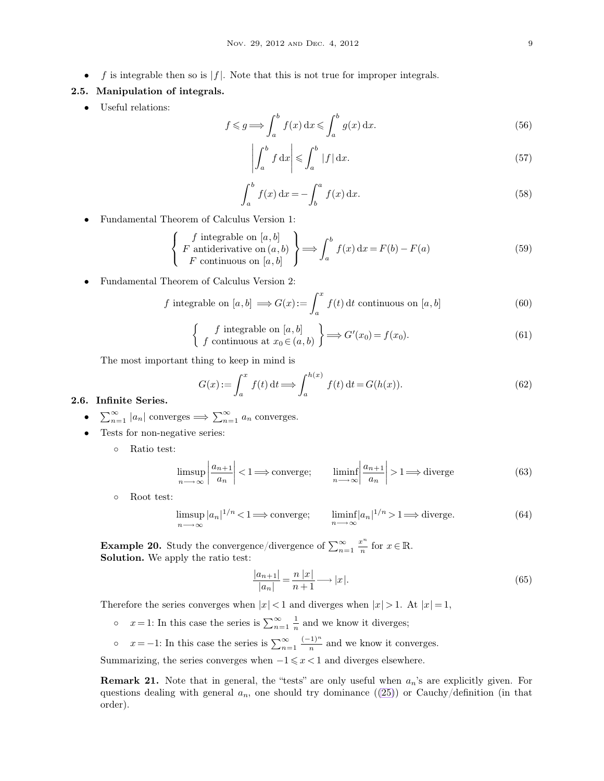•  $f$  is integrable then so is |f|. Note that this is not true for improper integrals.

## **2.5. Manipulation of integrals.**

• Useful relations:

$$
f \le g \Longrightarrow \int_{a}^{b} f(x) dx \le \int_{a}^{b} g(x) dx.
$$
 (56)

$$
\left| \int_{a}^{b} f \, dx \right| \leqslant \int_{a}^{b} |f| \, dx. \tag{57}
$$

$$
\int_{a}^{b} f(x) dx = -\int_{b}^{a} f(x) dx.
$$
 (58)

• Fundamental Theorem of Calculus Version 1:

$$
\left\{\n\begin{array}{l}\nf \text{ integrable on } [a, b] \\
F \text{ antiderivative on } (a, b) \\
F \text{ continuous on } [a, b]\n\end{array}\n\right\}\n\Longrightarrow\n\int_{a}^{b} f(x) \,dx = F(b) - F(a)
$$
\n(59)

• Fundamental Theorem of Calculus Version 2:

f integrable on 
$$
[a, b] \implies G(x) := \int_a^x f(t) dt
$$
 continuous on  $[a, b]$  (60)

$$
\begin{cases}\nf \text{ integrable on } [a, b] \\
f \text{ continuous at } x_0 \in (a, b)\n\end{cases} \Longrightarrow G'(x_0) = f(x_0). \tag{61}
$$

The most important thing to keep in mind is

$$
G(x) := \int_{a}^{x} f(t) dt \Longrightarrow \int_{a}^{h(x)} f(t) dt = G(h(x)).
$$
\n(62)

#### **2.6. Infinite Series.**

- $\sum_{n=1}^{\infty} |a_n|$  converges  $\Longrightarrow \sum_{n=1}^{\infty} a_n$  converges.
- Tests for non-negative series:
	- Ratio test:

$$
\limsup_{n \to \infty} \left| \frac{a_{n+1}}{a_n} \right| < 1 \Longrightarrow \text{converge}; \qquad \liminf_{n \to \infty} \left| \frac{a_{n+1}}{a_n} \right| > 1 \Longrightarrow \text{diverge} \tag{63}
$$

◦ Root test:

$$
\limsup_{n \to \infty} |a_n|^{1/n} < 1 \Longrightarrow \text{converge}; \qquad \liminf_{n \to \infty} |a_n|^{1/n} > 1 \Longrightarrow \text{diverge}. \tag{64}
$$

**Example 20.** Study the convergence/divergence of  $\sum_{n=1}^{\infty} \frac{x^n}{n}$  $\frac{c}{n}$  for  $x \in \mathbb{R}$ . **Solution.** We apply the ratio test:

$$
\frac{|a_{n+1}|}{|a_n|} = \frac{n|x|}{n+1} \longrightarrow |x|.
$$
\n(65)

Therefore the series converges when  $|x| < 1$  and diverges when  $|x| > 1$ . At  $|x| = 1$ ,

- $\circ$   $x=1$ : In this case the series is  $\sum_{n=1}^{\infty} \frac{1}{n}$  and we know it diverges;
- $x = -1$ : In this case the series is  $\sum_{n=1}^{\infty} \frac{(-1)^n}{n}$  and we know it converges.

Summarizing, the series converges when  $-1 \leq x < 1$  and diverges elsewhere.

**Remark 21.** Note that in general, the "tests" are only useful when  $a_n$ 's are explicitly given. For questions dealing with general  $a_n$ , one should try dominance  $((25))$  $((25))$  $((25))$  or Cauchy/definition (in that order).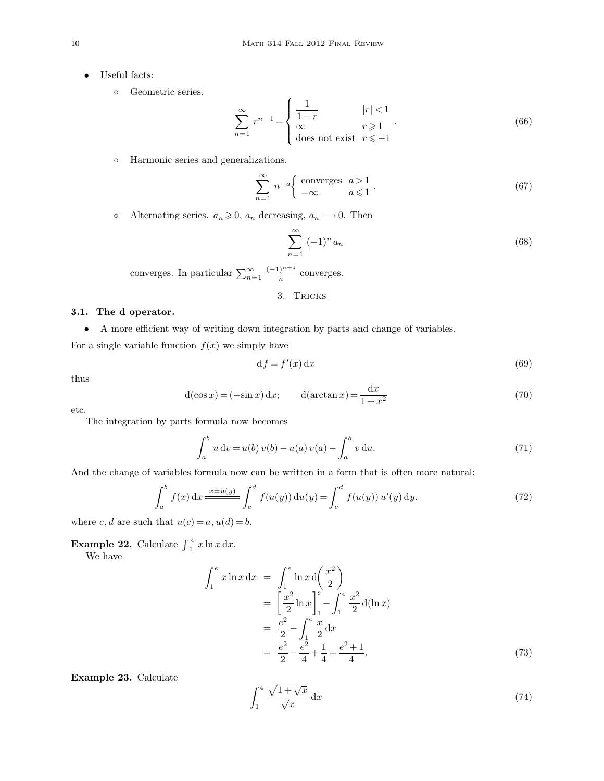- Useful facts:
	- Geometric series.

$$
\sum_{n=1}^{\infty} r^{n-1} = \begin{cases} \frac{1}{1-r} & |r| < 1\\ \infty & r \geqslant 1\\ \text{does not exist} & r \leqslant -1 \end{cases} \tag{66}
$$

◦ Harmonic series and generalizations.

$$
\sum_{n=1}^{\infty} n^{-a} \begin{cases} \text{converges} & a > 1 \\ =\infty & a \leq 1 \end{cases} . \tag{67}
$$

• Alternating series.  $a_n \geq 0$ ,  $a_n$  decreasing,  $a_n \longrightarrow 0$ . Then

$$
\sum_{n=1}^{\infty} (-1)^n a_n \tag{68}
$$

converges. In particular  $\sum_{n=1}^{\infty} \frac{(-1)^{n+1}}{n}$  converges.

3. Tricks

# **3.1. The** d **operator.**

• A more efficient way of writing down integration by parts and change of variables.

For a single variable function  $f(x)$  we simply have

$$
df = f'(x) dx \tag{69}
$$

thus

$$
d(\cos x) = (-\sin x) dx; \qquad d(\arctan x) = \frac{dx}{1 + x^2}
$$
 (70)

etc.

The integration by parts formula now becomes

$$
\int_{a}^{b} u dv = u(b) v(b) - u(a) v(a) - \int_{a}^{b} v du.
$$
\n(71)

And the change of variables formula now can be written in a form that is often more natural:

$$
\int_{a}^{b} f(x) dx \frac{x=u(y)}{x} \int_{c}^{d} f(u(y)) du(y) = \int_{c}^{d} f(u(y)) u'(y) dy.
$$
 (72)

where c, d are such that  $u(c) = a$ ,  $u(d) = b$ .

**Example 22.** Calculate  $\int_{1}^{x}$  $\int_a^e x \ln x \, dx.$ 

We have

$$
\int_{1}^{e} x \ln x \, dx = \int_{1}^{e} \ln x \, d\left(\frac{x^{2}}{2}\right)
$$
  
=  $\left[\frac{x^{2}}{2} \ln x\right]_{1}^{e} - \int_{1}^{e} \frac{x^{2}}{2} \, d(\ln x)$   
=  $\frac{e^{2}}{2} - \int_{1}^{e} \frac{x}{2} \, dx$   
=  $\frac{e^{2}}{2} - \frac{e^{2}}{4} + \frac{1}{4} = \frac{e^{2} + 1}{4}.$  (73)

**Example 23.** Calculate

$$
\int_{1}^{4} \frac{\sqrt{1+\sqrt{x}}}{\sqrt{x}} dx
$$
 (74)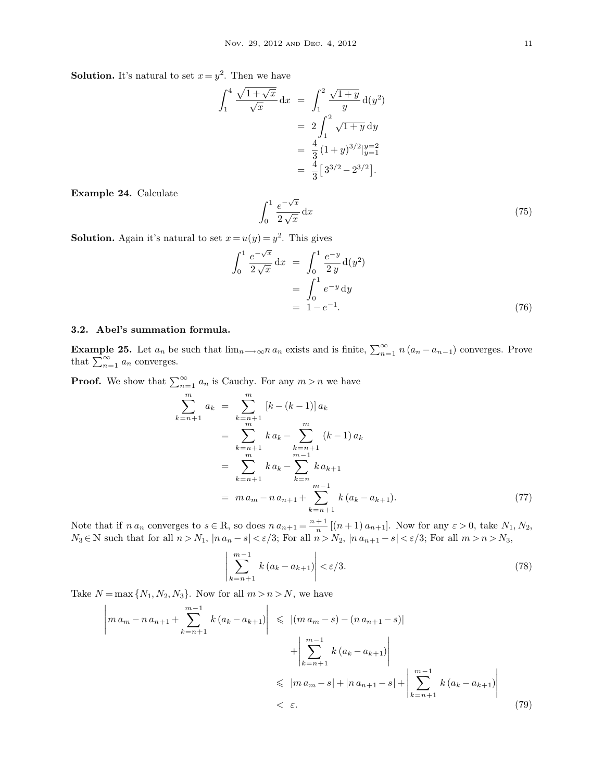**Solution.** It's natural to set  $x = y^2$ . Then we have

$$
\int_{1}^{4} \frac{\sqrt{1 + \sqrt{x}}}{\sqrt{x}} dx = \int_{1}^{2} \frac{\sqrt{1 + y}}{y} d(y^{2})
$$
  
=  $2 \int_{1}^{2} \sqrt{1 + y} dy$   
=  $\frac{4}{3} (1 + y)^{3/2} \Big|_{y=1}^{y=2}$   
=  $\frac{4}{3} [3^{3/2} - 2^{3/2}].$ 

**Example 24.** Calculate

$$
\int_0^1 \frac{e^{-\sqrt{x}}}{2\sqrt{x}} \, \mathrm{d}x \tag{75}
$$

**Solution.** Again it's natural to set  $x = u(y) = y^2$ . This gives

$$
\int_0^1 \frac{e^{-\sqrt{x}}}{2\sqrt{x}} dx = \int_0^1 \frac{e^{-y}}{2y} d(y^2) \n= \int_0^1 e^{-y} dy \n= 1 - e^{-1}.
$$
\n(76)

#### **3.2. Abel's summation formula.**

**Example 25.** Let  $a_n$  be such that  $\lim_{n\to\infty} n a_n$  exists and is finite,  $\sum_{n=1}^{\infty} n (a_n - a_{n-1})$  converges. Prove that  $\sum_{n=1}^{\infty} a_n$  converges.

**Proof.** We show that  $\sum_{n=1}^{\infty} a_n$  is Cauchy. For any  $m > n$  we have

$$
\sum_{k=n+1}^{m} a_k = \sum_{\substack{k=n+1 \ m}}^{m} [k - (k-1)] a_k
$$
  
= 
$$
\sum_{\substack{k=n+1 \ m}}^{m} k a_k - \sum_{\substack{k=n+1 \ m-1}}^{m} (k-1) a_k
$$
  
= 
$$
\sum_{\substack{k=n+1 \ k=n}}^{m} k a_k - \sum_{\substack{k=n \ m-1 \ k=n}}^{m-1} k a_{k+1}
$$
  
= 
$$
m a_m - n a_{n+1} + \sum_{\substack{k=n+1}}^{m-1} k (a_k - a_{k+1}).
$$
 (77)

Note that if  $n a_n$  converges to  $s \in \mathbb{R}$ , so does  $n a_{n+1} = \frac{n+1}{n}$  $\frac{n+1}{n}$  [(n + 1)  $a_{n+1}$ ]. Now for any  $\varepsilon > 0$ , take  $N_1, N_2$ ,  $N_3 \in \mathbb{N}$  such that for all  $n > N_1$ ,  $|n a_n - s| < \varepsilon/3$ ; For all  $n > N_2$ ,  $|n a_{n+1} - s| < \varepsilon/3$ ; For all  $m > n > N_3$ ,

$$
\left| \sum_{k=n+1}^{m-1} k (a_k - a_{k+1}) \right| < \varepsilon/3. \tag{78}
$$

Take  $N = \max\{N_1, N_2, N_3\}$ . Now for all  $m > n > N$ , we have

$$
\left| ma_m - na_{n+1} + \sum_{k=n+1}^{m-1} k(a_k - a_{k+1}) \right| \leq |(ma_m - s) - (na_{n+1} - s)|
$$
  
+ 
$$
\left| \sum_{k=n+1}^{m-1} k(a_k - a_{k+1}) \right|
$$
  

$$
\leq |m a_m - s| + |na_{n+1} - s| + \left| \sum_{k=n+1}^{m-1} k(a_k - a_{k+1}) \right|
$$
  

$$
< \varepsilon.
$$
 (79)